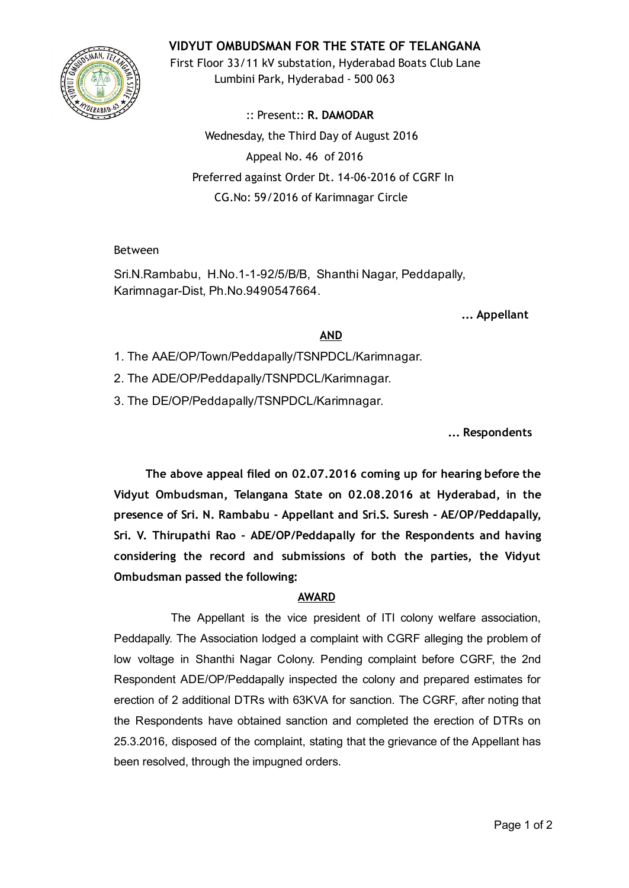# VIDYUT OMBUDSMAN FOR THE STATE OF TELANGANA



First Floor 33/11 kV substation, Hyderabad Boats Club Lane Lumbini Park, Hyderabad ‐ 500 063

:: Present:: R. DAMODAR Wednesday, the Third Day of August 2016 Appeal No. 46 of 2016 Preferred against Order Dt. 14‐06‐2016 of CGRF In CG.No: 59/2016 of Karimnagar Circle

### Between

Sri.N.Rambabu, H.No.1-1-92/5/B/B, Shanthi Nagar, Peddapally, Karimnagar-Dist, Ph.No.9490547664.

... Appellant

## AND

- 1. The AAE/OP/Town/Peddapally/TSNPDCL/Karimnagar.
- 2. The ADE/OP/Peddapally/TSNPDCL/Karimnagar.
- 3. The DE/OP/Peddapally/TSNPDCL/Karimnagar.

... Respondents

The above appeal filed on 02.07.2016 coming up for hearing before the Vidyut Ombudsman, Telangana State on 02.08.2016 at Hyderabad, in the presence of Sri. N. Rambabu ‐ Appellant and Sri.S. Suresh ‐ AE/OP/Peddapally, Sri. V. Thirupathi Rao ‐ ADE/OP/Peddapally for the Respondents and having considering the record and submissions of both the parties, the Vidyut Ombudsman passed the following:

## AWARD

The Appellant is the vice president of ITI colony welfare association, Peddapally. The Association lodged a complaint with CGRF alleging the problem of low voltage in Shanthi Nagar Colony. Pending complaint before CGRF, the 2nd Respondent ADE/OP/Peddapally inspected the colony and prepared estimates for erection of 2 additional DTRs with 63KVA for sanction. The CGRF, after noting that the Respondents have obtained sanction and completed the erection of DTRs on 25.3.2016, disposed of the complaint, stating that the grievance of the Appellant has been resolved, through the impugned orders.